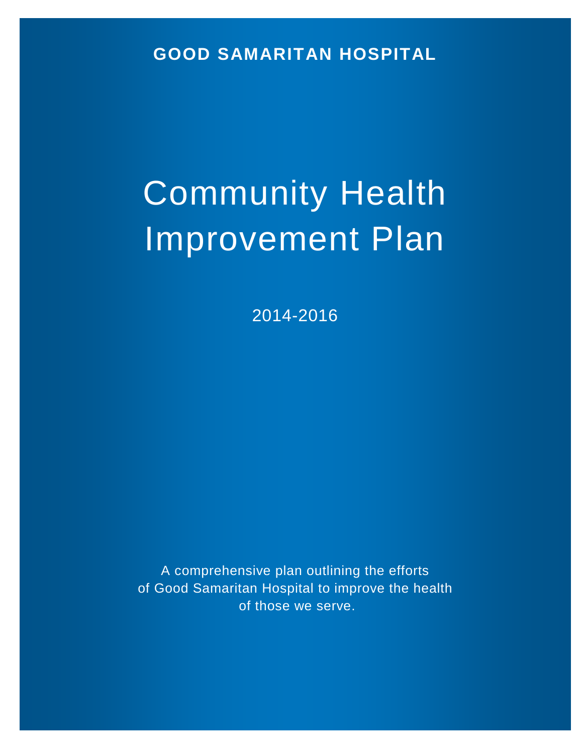**GOOD SAMARITAN HOSPITAL**

# Community Health Improvement Plan

2014-2016

A comprehensive plan outlining the efforts of Good Samaritan Hospital to improve the health of those we serve.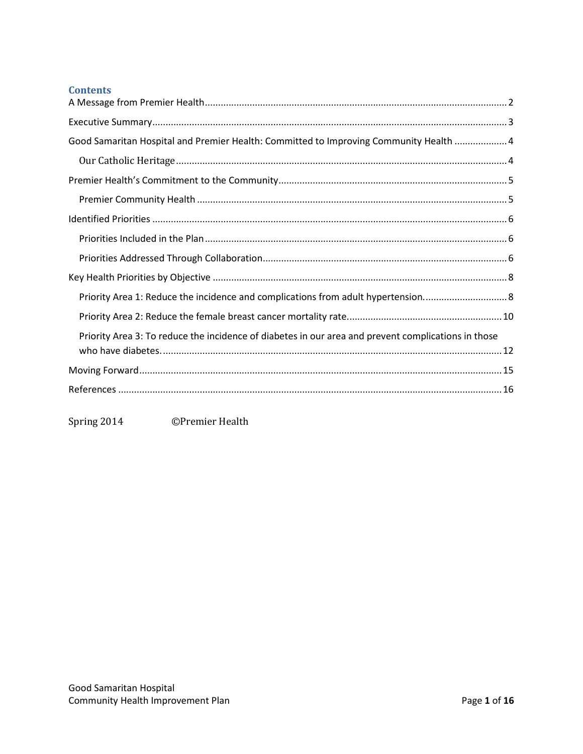# **Contents**

| Good Samaritan Hospital and Premier Health: Committed to Improving Community Health  4              |
|-----------------------------------------------------------------------------------------------------|
|                                                                                                     |
|                                                                                                     |
|                                                                                                     |
|                                                                                                     |
|                                                                                                     |
|                                                                                                     |
|                                                                                                     |
| Priority Area 1: Reduce the incidence and complications from adult hypertension 8                   |
|                                                                                                     |
| Priority Area 3: To reduce the incidence of diabetes in our area and prevent complications in those |
|                                                                                                     |
|                                                                                                     |
|                                                                                                     |

<span id="page-1-0"></span>Spring 2014 ©Premier Health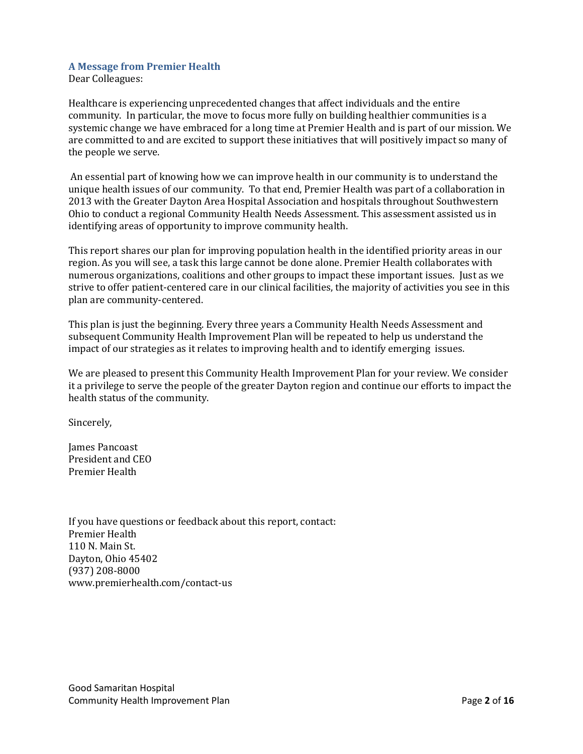## **A Message from Premier Health**

Dear Colleagues:

Healthcare is experiencing unprecedented changes that affect individuals and the entire community. In particular, the move to focus more fully on building healthier communities is a systemic change we have embraced for a long time at Premier Health and is part of our mission. We are committed to and are excited to support these initiatives that will positively impact so many of the people we serve.

An essential part of knowing how we can improve health in our community is to understand the unique health issues of our community. To that end, Premier Health was part of a collaboration in 2013 with the Greater Dayton Area Hospital Association and hospitals throughout Southwestern Ohio to conduct a regional Community Health Needs Assessment. This assessment assisted us in identifying areas of opportunity to improve community health.

This report shares our plan for improving population health in the identified priority areas in our region. As you will see, a task this large cannot be done alone. Premier Health collaborates with numerous organizations, coalitions and other groups to impact these important issues. Just as we strive to offer patient-centered care in our clinical facilities, the majority of activities you see in this plan are community-centered.

This plan is just the beginning. Every three years a Community Health Needs Assessment and subsequent Community Health Improvement Plan will be repeated to help us understand the impact of our strategies as it relates to improving health and to identify emerging issues.

We are pleased to present this Community Health Improvement Plan for your review. We consider it a privilege to serve the people of the greater Dayton region and continue our efforts to impact the health status of the community.

Sincerely,

James Pancoast President and CEO Premier Health

If you have questions or feedback about this report, contact: Premier Health 110 N. Main St. Dayton, Ohio 45402 (937) 208-8000 www.premierhealth.com/contact-us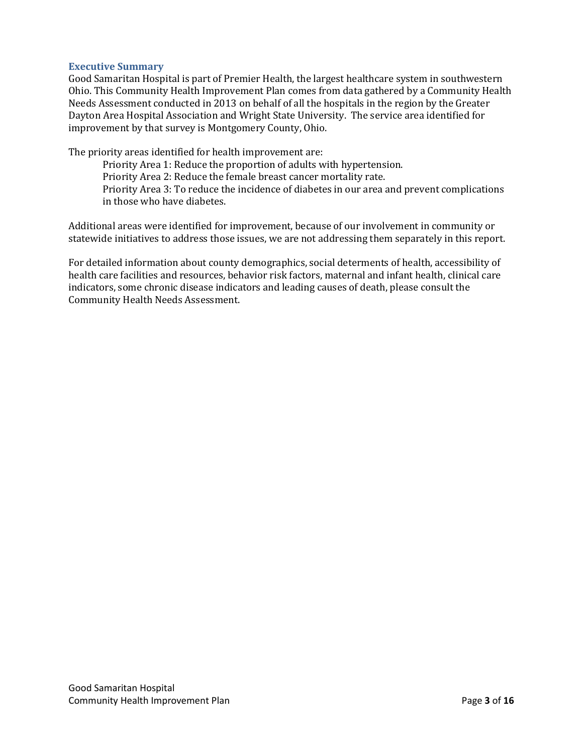## <span id="page-3-0"></span>**Executive Summary**

Good Samaritan Hospital is part of Premier Health, the largest healthcare system in southwestern Ohio. This Community Health Improvement Plan comes from data gathered by a Community Health Needs Assessment conducted in 2013 on behalf of all the hospitals in the region by the Greater Dayton Area Hospital Association and Wright State University. The service area identified for improvement by that survey is Montgomery County, Ohio.

The priority areas identified for health improvement are:

Priority Area 1: Reduce the proportion of adults with hypertension. Priority Area 2: Reduce the female breast cancer mortality rate. Priority Area 3: To reduce the incidence of diabetes in our area and prevent complications in those who have diabetes.

Additional areas were identified for improvement, because of our involvement in community or statewide initiatives to address those issues, we are not addressing them separately in this report.

<span id="page-3-1"></span>For detailed information about county demographics, social determents of health, accessibility of health care facilities and resources, behavior risk factors, maternal and infant health, clinical care indicators, some chronic disease indicators and leading causes of death, please consult the Community Health Needs Assessment.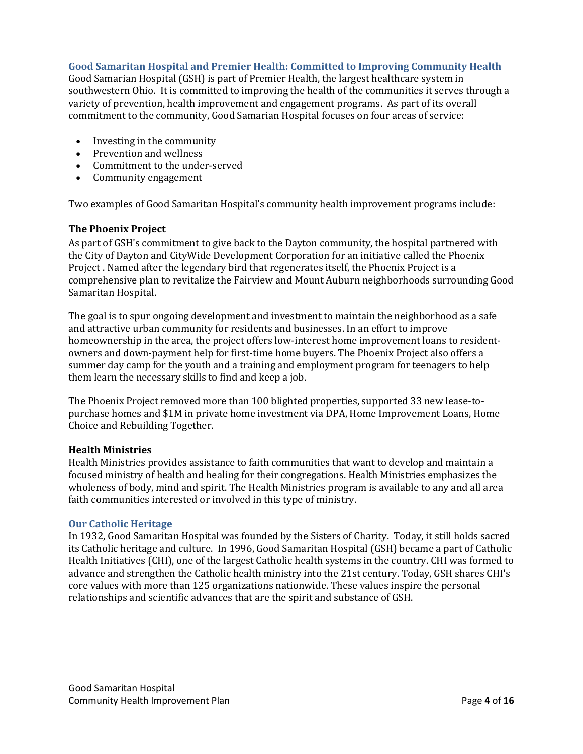# **Good Samaritan Hospital and Premier Health: Committed to Improving Community Health**

Good Samarian Hospital (GSH) is part of Premier Health, the largest healthcare system in southwestern Ohio. It is committed to improving the health of the communities it serves through a variety of prevention, health improvement and engagement programs. As part of its overall commitment to the community, Good Samarian Hospital focuses on four areas of service:

- [Investing in the community](http://www.miamivalleyhospital.org/WorkArea/linkit.aspx?LinkIdentifier=id&ItemID=10924)
- [Prevention and wellness](http://www.miamivalleyhospital.org/WorkArea/linkit.aspx?LinkIdentifier=id&ItemID=10922)
- [Commitment to the under-served](http://www.miamivalleyhospital.org/WorkArea/linkit.aspx?LinkIdentifier=id&ItemID=10918)
- [Community engagement](http://www.miamivalleyhospital.org/WorkArea/linkit.aspx?LinkIdentifier=id&ItemID=10916)

Two examples of Good Samaritan Hospital's community health improvement programs include:

#### **The Phoenix Project**

As part of GSH's commitment to give back to the Dayton community, the hospital partnered with the City of Dayton and CityWide Development Corporation for an initiative called the [Phoenix](http://phoenixprojectdayton.org/)  [Project](http://phoenixprojectdayton.org/) . Named after the legendary bird that regenerates itself, the Phoenix Project is a comprehensive plan to revitalize the Fairview and Mount Auburn neighborhoods surrounding Good Samaritan Hospital.

The goal is to spur ongoing development and investment to maintain the neighborhood as a safe and attractive urban community for residents and businesses. In an effort to improve homeownership in the area, the project offers low-interest home improvement loans to residentowners and down-payment help for first-time home buyers. The Phoenix Project also offers a summer day camp for the youth and a training and employment program for teenagers to help them learn the necessary skills to find and keep a job.

The Phoenix Project removed more than 100 blighted properties, supported 33 new lease-topurchase homes and \$1M in private home investment via DPA, Home Improvement Loans, Home Choice and Rebuilding Together.

## **Health Ministries**

Health Ministries provides assistance to faith communities that want to develop and maintain a focused ministry of health and healing for their congregations. Health Ministries emphasizes the wholeness of body, mind and spirit. The Health Ministries program is available to any and all area faith communities interested or involved in this type of ministry.

## <span id="page-4-0"></span>**Our Catholic Heritage**

<span id="page-4-1"></span>In 1932, Good Samaritan Hospital was founded by the Sisters of Charity. Today, it still holds sacred its Catholic heritage and culture. In 1996, Good Samaritan Hospital (GSH) became a part of Catholic Health Initiatives (CHI), one of the largest Catholic health systems in the country. CHI was formed to advance and strengthen the Catholic health ministry into the 21st century. Today, GSH shares CHI's core values with more than 125 organizations nationwide. These values inspire the personal relationships and scientific advances that are the spirit and substance of GSH.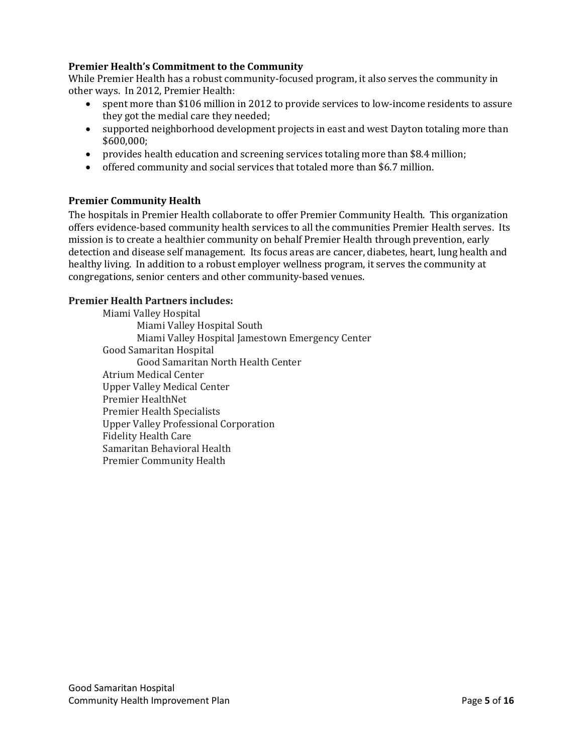# **Premier Health's Commitment to the Community**

While Premier Health has a robust community-focused program, it also serves the community in other ways. In 2012, Premier Health:

- spent more than \$106 million in 2012 to provide services to low-income residents to assure they got the medial care they needed;
- supported neighborhood development projects in east and west Dayton totaling more than \$600,000;
- provides health education and screening services totaling more than \$8.4 million;
- offered community and social services that totaled more than \$6.7 million.

## <span id="page-5-0"></span>**Premier Community Health**

The hospitals in Premier Health collaborate to offer Premier Community Health. This organization offers evidence-based community health services to all the communities Premier Health serves. Its mission is to create a healthier community on behalf Premier Health through prevention, early detection and disease self management. Its focus areas are cancer, diabetes, heart, lung health and healthy living. In addition to a robust employer wellness program, it serves the community at congregations, senior centers and other community-based venues.

## **Premier Health Partners includes:**

<span id="page-5-1"></span>Miami Valley Hospital Miami Valley Hospital South Miami Valley Hospital Jamestown Emergency Center Good Samaritan Hospital Good Samaritan North Health Center Atrium Medical Center Upper Valley Medical Center Premier HealthNet Premier Health Specialists Upper Valley Professional Corporation Fidelity Health Care Samaritan Behavioral Health Premier Community Health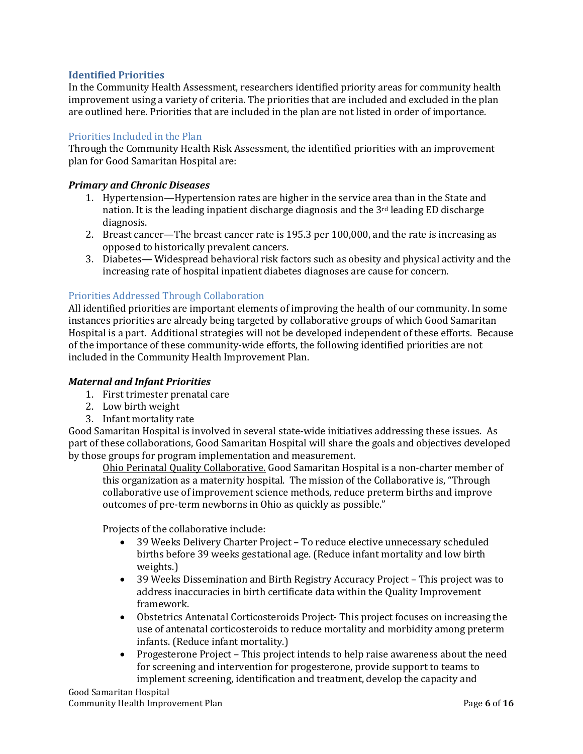# **Identified Priorities**

In the Community Health Assessment, researchers identified priority areas for community health improvement using a variety of criteria. The priorities that are included and excluded in the plan are outlined here. Priorities that are included in the plan are not listed in order of importance.

# <span id="page-6-0"></span>Priorities Included in the Plan

Through the Community Health Risk Assessment, the identified priorities with an improvement plan for Good Samaritan Hospital are:

## *Primary and Chronic Diseases*

- 1. Hypertension—Hypertension rates are higher in the service area than in the State and nation. It is the leading inpatient discharge diagnosis and the  $3<sup>rd</sup>$  leading ED discharge diagnosis.
- 2. Breast cancer—The breast cancer rate is 195.3 per 100,000, and the rate is increasing as opposed to historically prevalent cancers.
- 3. Diabetes— Widespread behavioral risk factors such as obesity and physical activity and the increasing rate of hospital inpatient diabetes diagnoses are cause for concern.

## <span id="page-6-1"></span>Priorities Addressed Through Collaboration

All identified priorities are important elements of improving the health of our community. In some instances priorities are already being targeted by collaborative groups of which Good Samaritan Hospital is a part. Additional strategies will not be developed independent of these efforts. Because of the importance of these community-wide efforts, the following identified priorities are not included in the Community Health Improvement Plan.

## *Maternal and Infant Priorities*

- 1. First trimester prenatal care
- 2. Low birth weight
- 3. Infant mortality rate

Good Samaritan Hospital is involved in several state-wide initiatives addressing these issues. As part of these collaborations, Good Samaritan Hospital will share the goals and objectives developed by those groups for program implementation and measurement.

Ohio Perinatal Quality Collaborative. Good Samaritan Hospital is a non-charter member of this organization as a maternity hospital. The mission of the Collaborative is, "Through collaborative use of improvement science methods, reduce preterm births and improve outcomes of pre-term newborns in Ohio as quickly as possible."

Projects of the collaborative include:<br>39 Weeks Delivery Charter Pr

- 39 Weeks Delivery Charter Project To reduce elective unnecessary scheduled births before 39 weeks gestational age. (Reduce infant mortality and low birth weights.)
- 39 Weeks Dissemination and Birth Registry Accuracy Project This project was to address inaccuracies in birth certificate data within the Quality Improvement framework.
- Obstetrics Antenatal Corticosteroids Project- This project focuses on increasing the use of antenatal corticosteroids to reduce mortality and morbidity among preterm infants. (Reduce infant mortality.)
- Progesterone Project This project intends to help raise awareness about the need for screening and intervention for progesterone, provide support to teams to implement screening, identification and treatment, develop the capacity and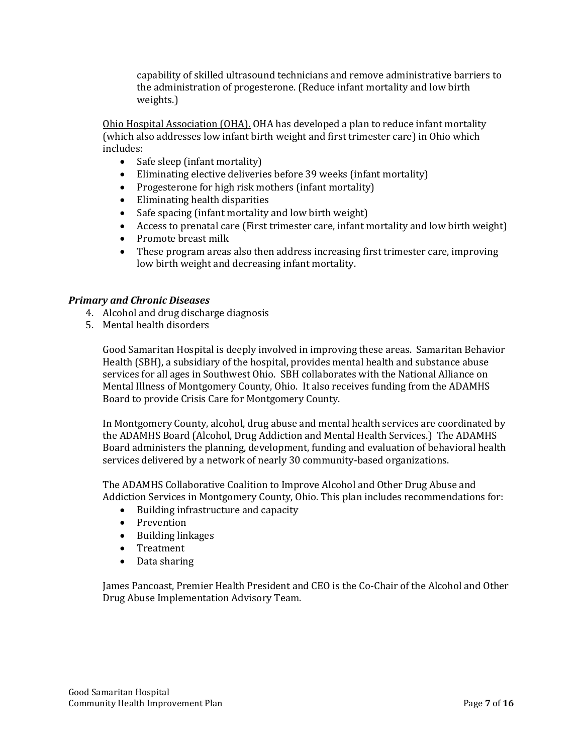capability of skilled ultrasound technicians and remove administrative barriers to the administration of progesterone. (Reduce infant mortality and low birth weights.)

Ohio Hospital Association (OHA). OHA has developed a plan to reduce infant mortality (which also addresses low infant birth weight and first trimester care) in Ohio which includes:

- Safe sleep (infant mortality)
- Eliminating elective deliveries before 39 weeks (infant mortality)
- Progesterone for high risk mothers (infant mortality)
- Eliminating health disparities
- Safe spacing (infant mortality and low birth weight)<br>• Access to prenatal care (First trimester care, infant r
- Access to prenatal care (First trimester care, infant mortality and low birth weight)
- Promote breast milk<br>• These program areas
- These program areas also then address increasing first trimester care, improving low birth weight and decreasing infant mortality.

# *Primary and Chronic Diseases*

- 4. Alcohol and drug discharge diagnosis
- 5. Mental health disorders

Good Samaritan Hospital is deeply involved in improving these areas. Samaritan Behavior Health (SBH), a subsidiary of the hospital, provides mental health and substance abuse services for all ages in Southwest Ohio. SBH collaborates with the National Alliance on Mental Illness of Montgomery County, Ohio. It also receives funding from the ADAMHS Board to provide Crisis Care for Montgomery County.

In Montgomery County, alcohol, drug abuse and mental health services are coordinated by the ADAMHS Board (Alcohol, Drug Addiction and Mental Health Services.) The ADAMHS Board administers the planning, development, funding and evaluation of behavioral health services delivered by a network of nearly 30 community-based organizations.

The ADAMHS Collaborative Coalition to Improve Alcohol and Other Drug Abuse and Addiction Services in Montgomery County, Ohio. This plan includes recommendations for:

- Building infrastructure and capacity
- Prevention
- Building linkages
- Treatment
- Data sharing

James Pancoast, Premier Health President and CEO is the Co-Chair of the Alcohol and Other Drug Abuse Implementation Advisory Team.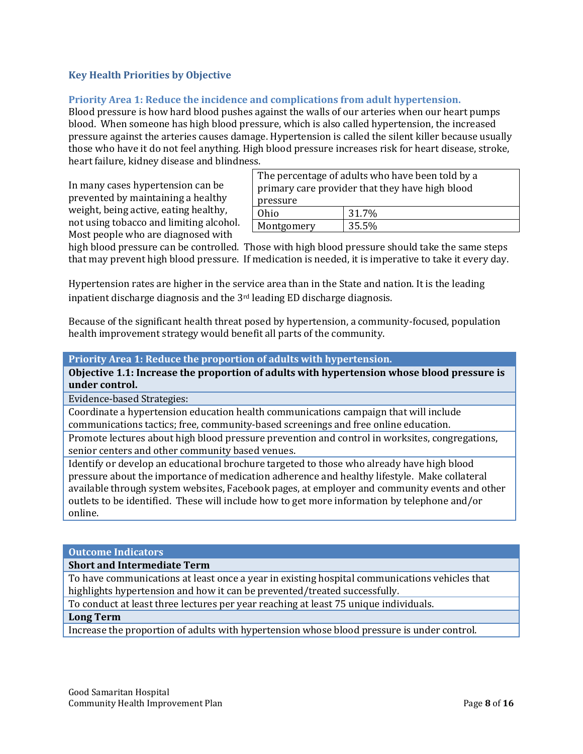# <span id="page-8-0"></span>**Key Health Priorities by Objective**

# <span id="page-8-1"></span>**Priority Area 1: Reduce the incidence and complications from adult hypertension.**

Blood pressure is how hard blood pushes against the walls of our arteries when our heart pumps blood. When someone has high blood pressure, which is also called hypertension, the increased pressure against the arteries causes damage. Hypertension is called the silent killer because usually those who have it do not feel anything. High blood pressure increases risk for heart disease, stroke, heart failure, kidney disease and blindness.

In many cases hypertension can be prevented by maintaining a healthy weight, being active, eating healthy, not using tobacco and limiting alcohol. Most people who are diagnosed with

| The percentage of adults who have been told by a |       |  |  |
|--------------------------------------------------|-------|--|--|
| primary care provider that they have high blood  |       |  |  |
| pressure                                         |       |  |  |
| Ohio                                             | 31.7% |  |  |
| Montgomery                                       | 35.5% |  |  |

high blood pressure can be controlled. Those with high blood pressure should take the same steps that may prevent high blood pressure. If medication is needed, it is imperative to take it every day.

Hypertension rates are higher in the service area than in the State and nation. It is the leading inpatient discharge diagnosis and the 3rd leading ED discharge diagnosis.

Because of the significant health threat posed by hypertension, a community-focused, population health improvement strategy would benefit all parts of the community.

**Priority Area 1: Reduce the proportion of adults with hypertension.** 

**Objective 1.1: Increase the proportion of adults with hypertension whose blood pressure is under control.**

Evidence-based Strategies:

Coordinate a hypertension education health communications campaign that will include communications tactics; free, community-based screenings and free online education.

Promote lectures about high blood pressure prevention and control in worksites, congregations, senior centers and other community based venues.

Identify or develop an educational brochure targeted to those who already have high blood pressure about the importance of medication adherence and healthy lifestyle. Make collateral available through system websites, Facebook pages, at employer and community events and other outlets to be identified. These will include how to get more information by telephone and/or online.

# **Outcome Indicators**

**Short and Intermediate Term**

To have communications at least once a year in existing hospital communications vehicles that highlights hypertension and how it can be prevented/treated successfully.

To conduct at least three lectures per year reaching at least 75 unique individuals. **Long Term**

Increase the proportion of adults with hypertension whose blood pressure is under control.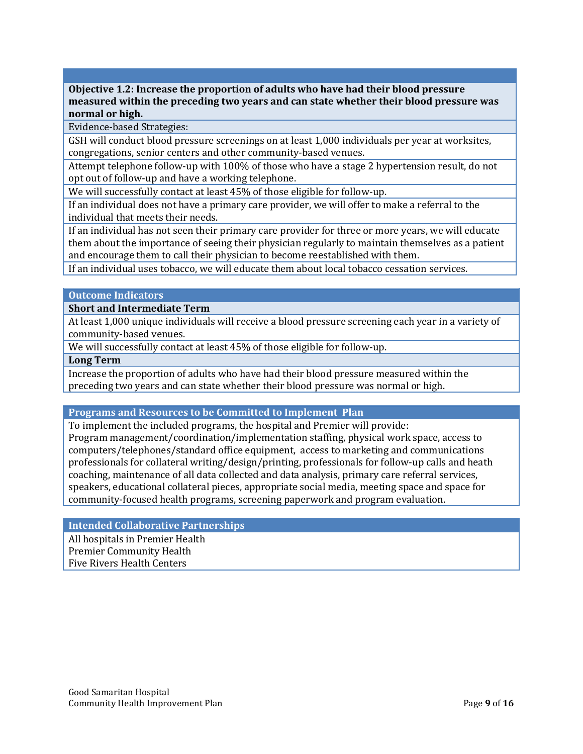**Objective 1.2: Increase the proportion of adults who have had their blood pressure measured within the preceding two years and can state whether their blood pressure was normal or high.**

Evidence-based Strategies:

GSH will conduct blood pressure screenings on at least 1,000 individuals per year at worksites, congregations, senior centers and other community-based venues.

Attempt telephone follow-up with 100% of those who have a stage 2 hypertension result, do not opt out of follow-up and have a working telephone.

We will successfully contact at least 45% of those eligible for follow-up.

If an individual does not have a primary care provider, we will offer to make a referral to the individual that meets their needs.

If an individual has not seen their primary care provider for three or more years, we will educate them about the importance of seeing their physician regularly to maintain themselves as a patient and encourage them to call their physician to become reestablished with them.

If an individual uses tobacco, we will educate them about local tobacco cessation services.

#### **Outcome Indicators**

**Short and Intermediate Term**

At least 1,000 unique individuals will receive a blood pressure screening each year in a variety of community-based venues.

We will successfully contact at least 45% of those eligible for follow-up.

# **Long Term**

Increase the proportion of adults who have had their blood pressure measured within the preceding two years and can state whether their blood pressure was normal or high.

#### **Programs and Resources to be Committed to Implement Plan**

To implement the included programs, the hospital and Premier will provide: Program management/coordination/implementation staffing, physical work space, access to computers/telephones/standard office equipment, access to marketing and communications professionals for collateral writing/design/printing, professionals for follow-up calls and heath coaching, maintenance of all data collected and data analysis, primary care referral services, speakers, educational collateral pieces, appropriate social media, meeting space and space for community-focused health programs, screening paperwork and program evaluation.

#### **Intended Collaborative Partnerships**

<span id="page-9-0"></span>All hospitals in Premier Health Premier Community Health Five Rivers Health Centers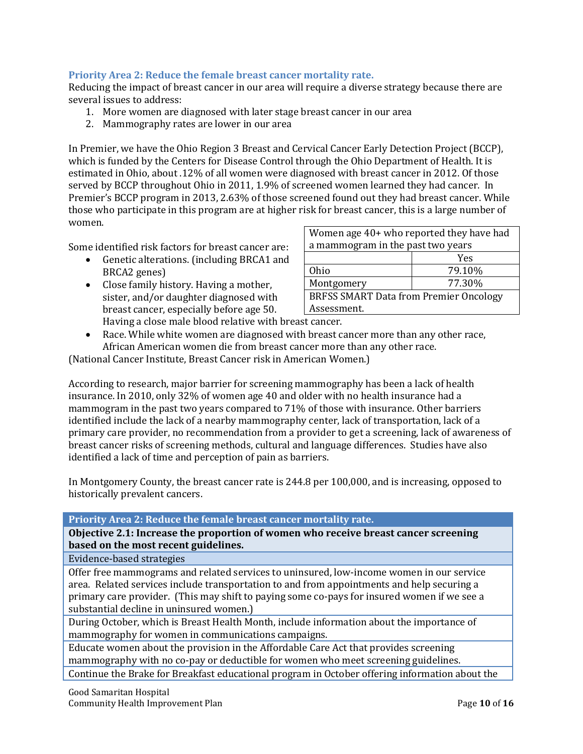# **Priority Area 2: Reduce the female breast cancer mortality rate.**

Reducing the impact of breast cancer in our area will require a diverse strategy because there are several issues to address:

- 1. More women are diagnosed with later stage breast cancer in our area
- 2. Mammography rates are lower in our area

In Premier, we have the Ohio Region 3 Breast and Cervical Cancer Early Detection Project (BCCP), which is funded by the Centers for Disease Control through the Ohio Department of Health. It is estimated in Ohio, about .12% of all women were diagnosed with breast cancer in 2012. Of those served by BCCP throughout Ohio in 2011, 1.9% of screened women learned they had cancer. In Premier's BCCP program in 2013, 2.63% of those screened found out they had breast cancer. While those who participate in this program are at higher risk for breast cancer, this is a large number of women.

Some identified risk factors for breast cancer are:

- Genetic alterations. (including BRCA1 and BRCA2 genes)
- Close family history. Having a mother, sister, and/or daughter diagnosed with breast cancer, especially before age 50. Having a close male blood relative with breast cancer.

| Women age 40+ who reported they have had      |        |  |  |  |
|-----------------------------------------------|--------|--|--|--|
| a mammogram in the past two years             |        |  |  |  |
|                                               | Yes    |  |  |  |
| Ohio                                          | 79.10% |  |  |  |
| Montgomery                                    | 77.30% |  |  |  |
| <b>BRFSS SMART Data from Premier Oncology</b> |        |  |  |  |
| Assessment.                                   |        |  |  |  |
|                                               |        |  |  |  |

• Race. While white women are diagnosed with breast cancer more than any other race, African American women die from breast cancer more than any other race.

(National Cancer Institute, Breast Cancer risk in American Women.)

According to research, major barrier for screening mammography has been a lack of health insurance. In 2010, only 32% of women age 40 and older with no health insurance had a mammogram in the past two years compared to 71% of those with insurance. Other barriers identified include the lack of a nearby mammography center, lack of transportation, lack of a primary care provider, no recommendation from a provider to get a screening, lack of awareness of breast cancer risks of screening methods, cultural and language differences. Studies have also identified a lack of time and perception of pain as barriers.

In Montgomery County, the breast cancer rate is 244.8 per 100,000, and is increasing, opposed to historically prevalent cancers.

| Priority Area 2: Reduce the female breast cancer mortality rate.                            |
|---------------------------------------------------------------------------------------------|
|                                                                                             |
| Objective 2.1: Increase the proportion of women who receive breast cancer screening         |
| based on the most recent guidelines.                                                        |
| Evidence-based strategies                                                                   |
| Offer free mammograms and related services to uninsured, low-income women in our service    |
| area. Related services include transportation to and from appointments and help securing a  |
| primary care provider. (This may shift to paying some co-pays for insured women if we see a |
| substantial decline in uninsured women.)                                                    |
| During October, which is Breast Health Month, include information about the importance of   |
| mammography for women in communications campaigns.                                          |
| Educate women about the provision in the Affordable Care Act that provides screening        |
| mammography with no co-pay or deductible for women who meet screening guidelines.           |

Continue the Brake for Breakfast educational program in October offering information about the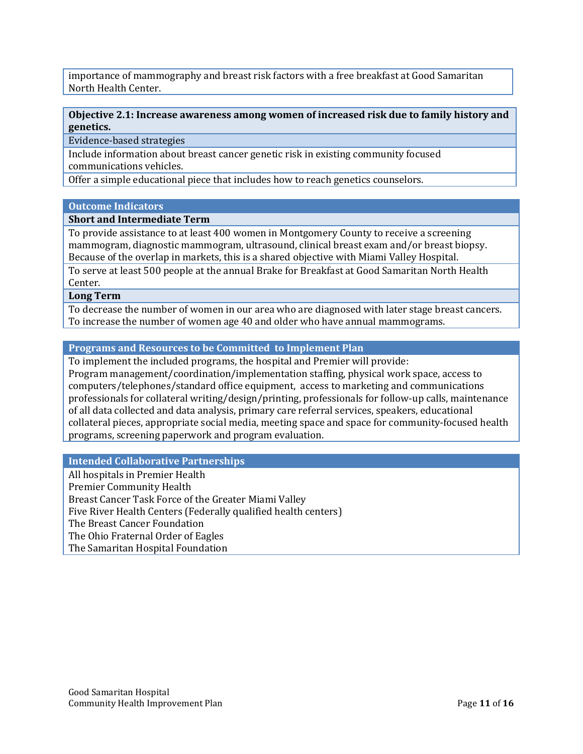importance of mammography and breast risk factors with a free breakfast at Good Samaritan North Health Center.

## **Objective 2.1: Increase awareness among women of increased risk due to family history and genetics.**

Evidence-based strategies

Include information about breast cancer genetic risk in existing community focused communications vehicles.

Offer a simple educational piece that includes how to reach genetics counselors.

#### **Outcome Indicators**

#### **Short and Intermediate Term**

To provide assistance to at least 400 women in Montgomery County to receive a screening mammogram, diagnostic mammogram, ultrasound, clinical breast exam and/or breast biopsy. Because of the overlap in markets, this is a shared objective with Miami Valley Hospital.

To serve at least 500 people at the annual Brake for Breakfast at Good Samaritan North Health Center.

**Long Term**

To decrease the number of women in our area who are diagnosed with later stage breast cancers. To increase the number of women age 40 and older who have annual mammograms.

# **Programs and Resources to be Committed to Implement Plan**

To implement the included programs, the hospital and Premier will provide: Program management/coordination/implementation staffing, physical work space, access to computers/telephones/standard office equipment, access to marketing and communications professionals for collateral writing/design/printing, professionals for follow-up calls, maintenance of all data collected and data analysis, primary care referral services, speakers, educational collateral pieces, appropriate social media, meeting space and space for community-focused health programs, screening paperwork and program evaluation.

# **Intended Collaborative Partnerships**

<span id="page-11-0"></span>All hospitals in Premier Health Premier Community Health Breast Cancer Task Force of the Greater Miami Valley Five River Health Centers (Federally qualified health centers) The Breast Cancer Foundation The Ohio Fraternal Order of Eagles The Samaritan Hospital Foundation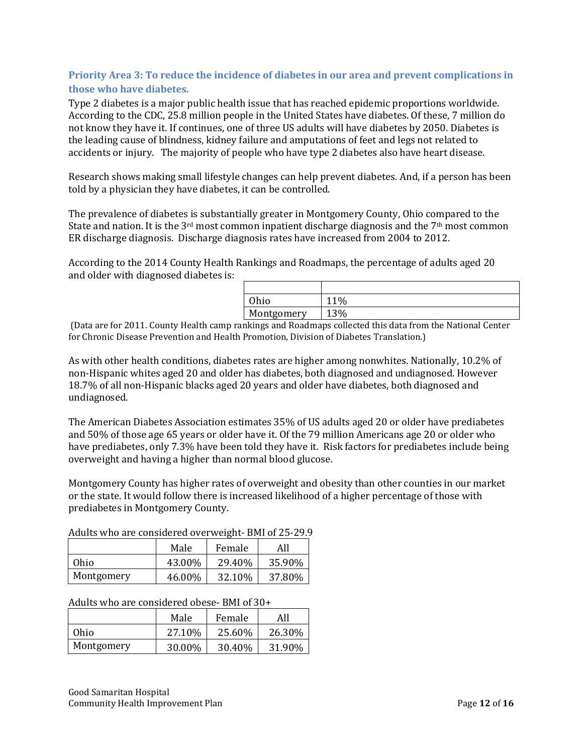# **Priority Area 3: To reduce the incidence of diabetes in our area and prevent complications in those who have diabetes.**

Type 2 diabetes is a major public health issue that has reached epidemic proportions worldwide. According to the CDC, 25.8 million people in the United States have diabetes. Of these, 7 million do not know they have it. If continues, one of three US adults will have diabetes by 2050. Diabetes is the leading cause of blindness, kidney failure and amputations of feet and legs not related to accidents or injury. The majority of people who have type 2 diabetes also have heart disease.

Research shows making small lifestyle changes can help prevent diabetes. And, if a person has been told by a physician they have diabetes, it can be controlled.

The prevalence of diabetes is substantially greater in Montgomery County, Ohio compared to the State and nation. It is the 3<sup>rd</sup> most common inpatient discharge diagnosis and the 7<sup>th</sup> most common ER discharge diagnosis. Discharge diagnosis rates have increased from 2004 to 2012.

According to the 2014 County Health Rankings and Roadmaps, the percentage of adults aged 20 and older with diagnosed diabetes is:

| Ohio       | $1\%$ |
|------------|-------|
| Montgomery | 13%   |

(Data are for 2011. County Health camp rankings and Roadmaps collected this data from the National Center for Chronic Disease Prevention and Health Promotion, Division of Diabetes Translation.)

As with other health conditions, diabetes rates are higher among nonwhites. Nationally, 10.2% of non-Hispanic whites aged 20 and older has diabetes, both diagnosed and undiagnosed. However 18.7% of all non-Hispanic blacks aged 20 years and older have diabetes, both diagnosed and undiagnosed.

The American Diabetes Association estimates 35% of US adults aged 20 or older have prediabetes and 50% of those age 65 years or older have it. Of the 79 million Americans age 20 or older who have prediabetes, only 7.3% have been told they have it. Risk factors for prediabetes include being overweight and having a higher than normal blood glucose.

Montgomery County has higher rates of overweight and obesity than other counties in our market or the state. It would follow there is increased likelihood of a higher percentage of those with prediabetes in Montgomery County.

| Addits who are considered over weight- DMI or 25-29. |        |        |        |  |
|------------------------------------------------------|--------|--------|--------|--|
|                                                      | Male   | Female | All    |  |
| Ohio                                                 | 43.00% | 29.40% | 35.90% |  |
| Montgomery                                           | 46.00% | 32.10% | 37.80% |  |

Adults who are considered overweight- BMI of 25-29.9

Adults who are considered obese- BMI of 30+

|            | Male    | Female | All    |
|------------|---------|--------|--------|
| Ohio       | 27.10\% | 25.60% | 26.30% |
| Montgomery | 30.00%  | 30.40% | 31.90% |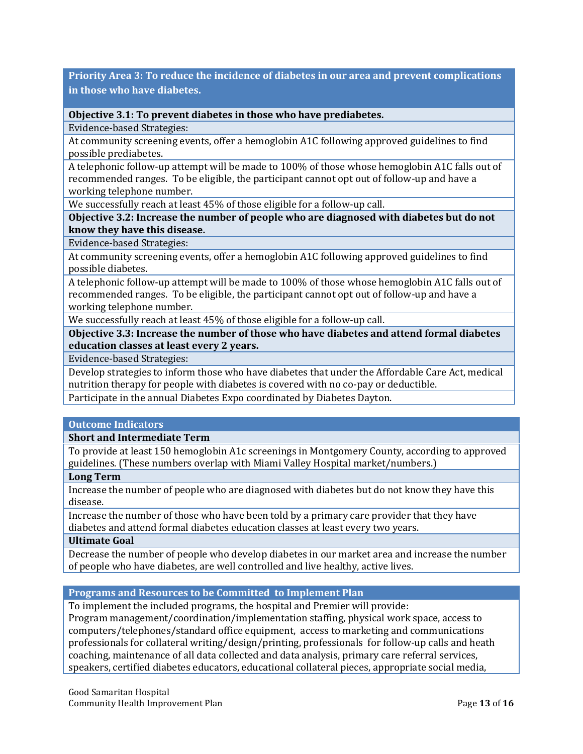**Priority Area 3: To reduce the incidence of diabetes in our area and prevent complications in those who have diabetes.**

**Objective 3.1: To prevent diabetes in those who have prediabetes.**

Evidence-based Strategies:

At community screening events, offer a hemoglobin A1C following approved guidelines to find possible prediabetes.

A telephonic follow-up attempt will be made to 100% of those whose hemoglobin A1C falls out of recommended ranges. To be eligible, the participant cannot opt out of follow-up and have a working telephone number.

We successfully reach at least 45% of those eligible for a follow-up call.

**Objective 3.2: Increase the number of people who are diagnosed with diabetes but do not know they have this disease.**

Evidence-based Strategies:

At community screening events, offer a hemoglobin A1C following approved guidelines to find possible diabetes.

A telephonic follow-up attempt will be made to 100% of those whose hemoglobin A1C falls out of recommended ranges. To be eligible, the participant cannot opt out of follow-up and have a working telephone number.

We successfully reach at least 45% of those eligible for a follow-up call.

**Objective 3.3: Increase the number of those who have diabetes and attend formal diabetes education classes at least every 2 years.**

Evidence-based Strategies:

Develop strategies to inform those who have diabetes that under the Affordable Care Act, medical nutrition therapy for people with diabetes is covered with no co-pay or deductible.

Participate in the annual Diabetes Expo coordinated by Diabetes Dayton.

## **Outcome Indicators**

**Short and Intermediate Term**

To provide at least 150 hemoglobin A1c screenings in Montgomery County, according to approved guidelines. (These numbers overlap with Miami Valley Hospital market/numbers.)

#### **Long Term**

Increase the number of people who are diagnosed with diabetes but do not know they have this disease.

Increase the number of those who have been told by a primary care provider that they have diabetes and attend formal diabetes education classes at least every two years.

#### **Ultimate Goal**

Decrease the number of people who develop diabetes in our market area and increase the number of people who have diabetes, are well controlled and live healthy, active lives.

## **Programs and Resources to be Committed to Implement Plan**

To implement the included programs, the hospital and Premier will provide:

Program management/coordination/implementation staffing, physical work space, access to computers/telephones/standard office equipment, access to marketing and communications professionals for collateral writing/design/printing, professionals for follow-up calls and heath coaching, maintenance of all data collected and data analysis, primary care referral services, speakers, certified diabetes educators, educational collateral pieces, appropriate social media,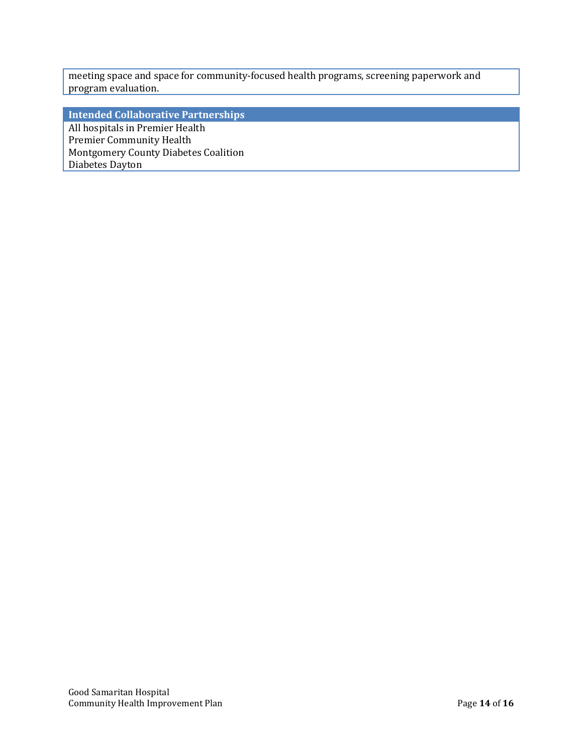meeting space and space for community-focused health programs, screening paperwork and program evaluation.

**Intended Collaborative Partnerships**

<span id="page-14-0"></span>All hospitals in Premier Health Premier Community Health Montgomery County Diabetes Coalition Diabetes Dayton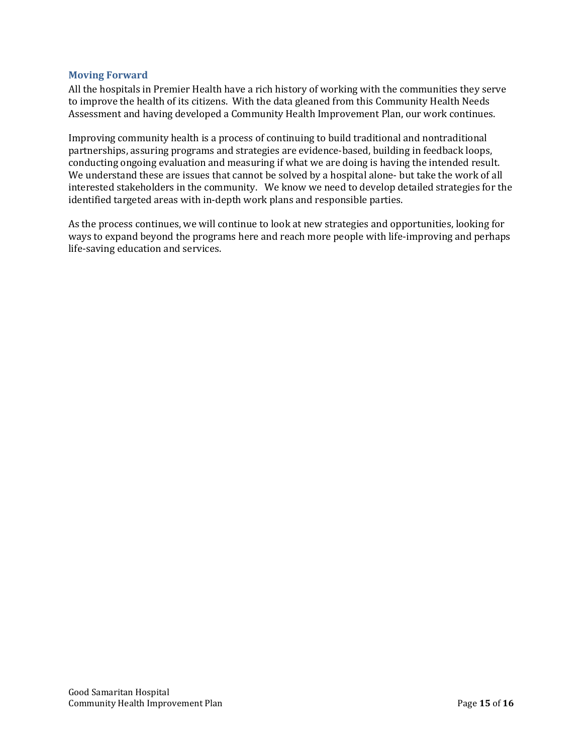# **Moving Forward**

All the hospitals in Premier Health have a rich history of working with the communities they serve to improve the health of its citizens. With the data gleaned from this Community Health Needs Assessment and having developed a Community Health Improvement Plan, our work continues.

Improving community health is a process of continuing to build traditional and nontraditional partnerships, assuring programs and strategies are evidence-based, building in feedback loops, conducting ongoing evaluation and measuring if what we are doing is having the intended result. We understand these are issues that cannot be solved by a hospital alone- but take the work of all interested stakeholders in the community. We know we need to develop detailed strategies for the identified targeted areas with in-depth work plans and responsible parties.

<span id="page-15-0"></span>As the process continues, we will continue to look at new strategies and opportunities, looking for ways to expand beyond the programs here and reach more people with life-improving and perhaps life-saving education and services.